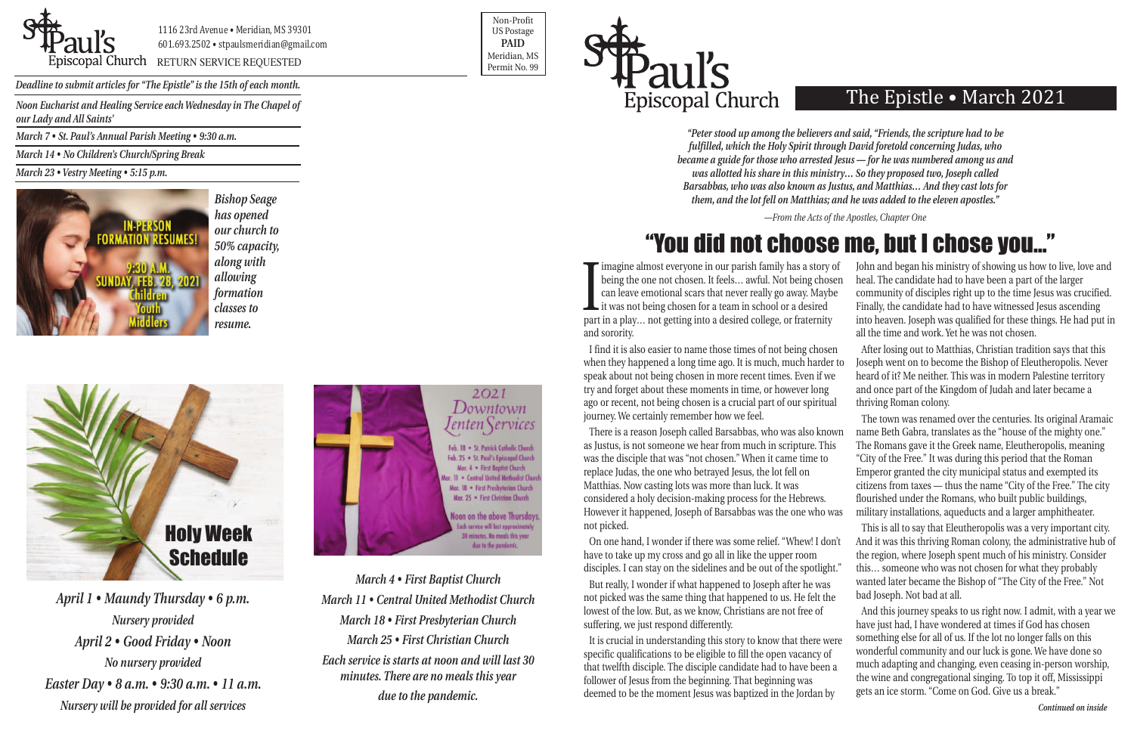

1116 23rd Avenue • Meridian, MS 39301 601.693.2502 • stpaulsmeridian@gmail.com

Priscopal Church RETURN SERVICE REQUESTED Research of the permit No. 99

Non-Profit US Postage **PAID** Meridian, MS



*Deadline to submit articles for "The Epistle" is the 15th of each month.* 

# The Epistle • March 2021

<u>I</u> imagine almost everyone in our parish family has a story of being the one not chosen. It feels… awful. Not being chosen can leave emotional scars that never really go away. Maybe it was not being chosen for a team in school or a desired part in a play… not getting into a desired college, or fraternity and sorority. John and began his ministry of showing us how to live, love and heal. The candidate had to have been a part of the larger community of disciples right up to the time Jesus was crucified. Finally, the candidate had to have witnessed Jesus ascending into heaven. Joseph was qualified for these things. He had put in all the time and work. Yet he was not chosen.

On one hand, I wonder if there was some relief. "Whew! I don't have to take up my cross and go all in like the upper room disciples. I can stay on the sidelines and be out of the spotlight."

I find it is also easier to name those times of not being chosen when they happened a long time ago. It is much, much harder to speak about not being chosen in more recent times. Even if we try and forget about these moments in time, or however long ago or recent, not being chosen is a crucial part of our spiritual journey. We certainly remember how we feel. After losing out to Matthias, Christian tradition says that this Joseph went on to become the Bishop of Eleutheropolis. Never heard of it? Me neither. This was in modern Palestine territory and once part of the Kingdom of Judah and later became a thriving Roman colony.

But really, I wonder if what happened to Joseph after he was not picked was the same thing that happened to us. He felt the lowest of the low. But, as we know, Christians are not free of suffering, we just respond differently.

There is a reason Joseph called Barsabbas, who was also known as Justus, is not someone we hear from much in scripture. This was the disciple that was "not chosen." When it came time to replace Judas, the one who betrayed Jesus, the lot fell on Matthias. Now casting lots was more than luck. It was considered a holy decision-making process for the Hebrews. However it happened, Joseph of Barsabbas was the one who was not picked. The town was renamed over the centuries. Its original Aramaic name Beth Gabra, translates as the "house of the mighty one." The Romans gave it the Greek name, Eleutheropolis, meaning "City of the Free." It was during this period that the Roman Emperor granted the city municipal status and exempted its citizens from taxes — thus the name "City of the Free." The city flourished under the Romans, who built public buildings, military installations, aqueducts and a larger amphitheater.

It is crucial in understanding this story to know that there were specific qualifications to be eligible to fill the open vacancy of that twelfth disciple. The disciple candidate had to have been a follower of Jesus from the beginning. That beginning was deemed to be the moment Jesus was baptized in the Jordan by And this journey speaks to us right now. I admit, with a year we have just had, I have wondered at times if God has chosen something else for all of us. If the lot no longer falls on this wonderful community and our luck is gone. We have done so much adapting and changing, even ceasing in-person worship, the wine and congregational singing. To top it off, Mississippi gets an ice storm. "Come on God. Give us a break."

This is all to say that Eleutheropolis was a very important city. And it was this thriving Roman colony, the administrative hub of the region, where Joseph spent much of his ministry. Consider

this… someone who was not chosen for what they probably wanted later became the Bishop of "The City of the Free." Not bad Joseph. Not bad at all.

*Noon Eucharist and Healing Service each Wednesday in The Chapel of our Lady and All Saints'*

*March 7 • St. Paul's Annual Parish Meeting • 9:30 a.m.*

*March 14 • No Children's Church/Spring Break* 

*March 23 • Vestry Meeting • 5:15 p.m.*



*March 4 • First Baptist Church March 11 • Central United Methodist Church March 18 • First Presbyterian Church March 25 • First Christian Church Each service is starts at noon and will last 30 minutes. There are no meals this year due to the pandemic.*

*"Peter stood up among the believers and said, "Friends, the scripture had to be fulfilled, which the Holy Spirit through David foretold concerning Judas, who became a guide for those who arrested Jesus — for he was numbered among us and was allotted his share in this ministry… So they proposed two, Joseph called Barsabbas, who was also known as Justus, and Matthias… And they cast lots for them, and the lot fell on Matthias; and he was added to the eleven apostles."*

*—From the Acts of the Apostles, Chapter One*

*April 1 • Maundy Thursday • 6 p.m. Nursery provided April 2 • Good Friday • Noon No nursery provided Easter Day • 8 a.m. • 9:30 a.m. • 11 a.m. Nursery will be provided for all services*





# "You did not choose me, but I chose you…"

*Bishop Seage has opened our church to 50% capacity, along with allowing formation classes to resume.*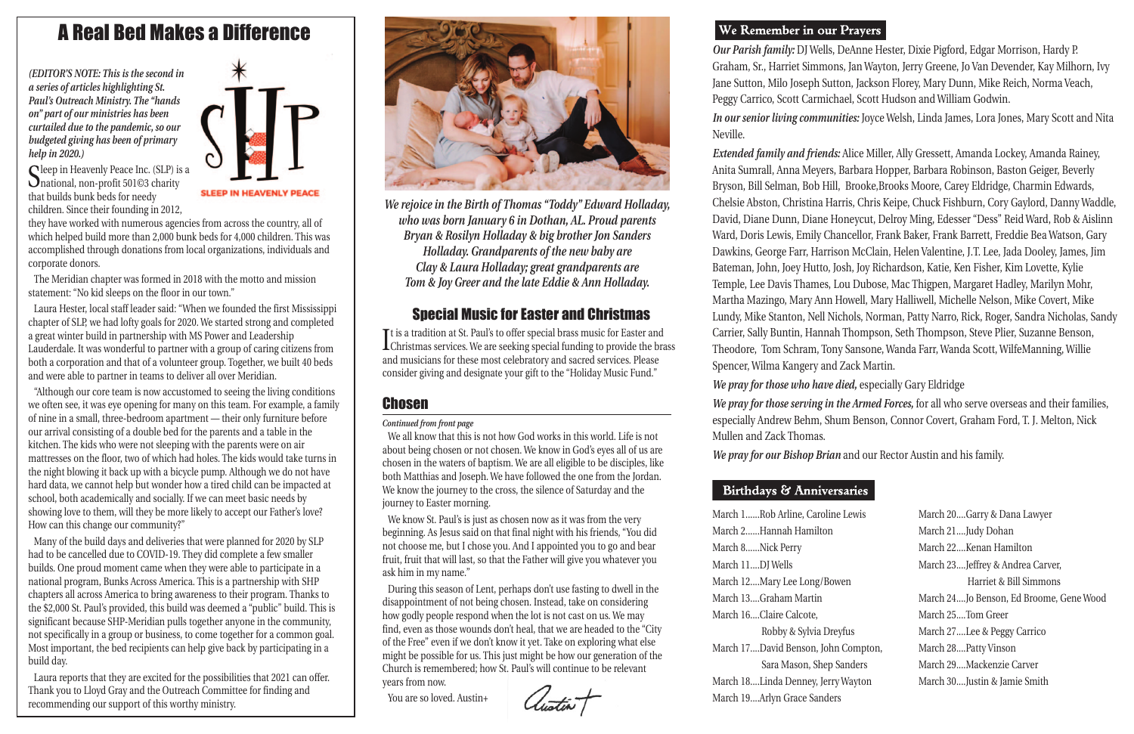| ne Lewis   | March 20Garry & Dana Lawyer             |
|------------|-----------------------------------------|
|            | March 21Judy Dohan                      |
|            | March 22Kenan Hamilton                  |
|            | March 23Jeffrey & Andrea Carver,        |
| wen        | Harriet & Bill Simmons                  |
|            | March 24Jo Benson, Ed Broome, Gene Wood |
|            | March 25Tom Greer                       |
| eyfus      | March 27Lee & Peggy Carrico             |
| n Compton, | March 28Patty Vinson                    |
| Sanders    | March 29Mackenzie Carver                |
| ry Wayton  | March 30Justin & Jamie Smith            |
| rs:        |                                         |

*Our Parish family:* DJ Wells, DeAnne Hester, Dixie Pigford, Edgar Morrison, Hardy P. Graham, Sr., Harriet Simmons, Jan Wayton, Jerry Greene, Jo Van Devender, Kay Milhorn, Ivy Jane Sutton, Milo Joseph Sutton, Jackson Florey, Mary Dunn, Mike Reich, Norma Veach, Peggy Carrico, Scott Carmichael, Scott Hudson and William Godwin. *In our senior living communities:* Joyce Welsh, Linda James, Lora Jones, Mary Scott and Nita Neville.

Sleep in Heavenly Peace Inc. (SLP) is a<br>
mational, non-profit 501©3 charity that builds bunk beds for needy children. Since their founding in 2012,



*Extended family and friends:* Alice Miller, Ally Gressett, Amanda Lockey, Amanda Rainey, Anita Sumrall, Anna Meyers, Barbara Hopper, Barbara Robinson, Baston Geiger, Beverly Bryson, Bill Selman, Bob Hill, Brooke,Brooks Moore, Carey Eldridge, Charmin Edwards, Chelsie Abston, Christina Harris, Chris Keipe, Chuck Fishburn, Cory Gaylord, Danny Waddle, David, Diane Dunn, Diane Honeycut, Delroy Ming, Edesser "Dess" Reid Ward, Rob & Aislinn Ward, Doris Lewis, Emily Chancellor, Frank Baker, Frank Barrett, Freddie Bea Watson, Gary Dawkins, George Farr, Harrison McClain, Helen Valentine, J.T. Lee, Jada Dooley, James, Jim Bateman, John, Joey Hutto, Josh, Joy Richardson, Katie, Ken Fisher, Kim Lovette, Kylie Temple, Lee Davis Thames, Lou Dubose, Mac Thigpen, Margaret Hadley, Marilyn Mohr, Martha Mazingo, Mary Ann Howell, Mary Halliwell, Michelle Nelson, Mike Covert, Mike Lundy, Mike Stanton, Nell Nichols, Norman, Patty Narro, Rick, Roger, Sandra Nicholas, Sandy Carrier, Sally Buntin, Hannah Thompson, Seth Thompson, Steve Plier, Suzanne Benson, Theodore, Tom Schram, Tony Sansone, Wanda Farr, Wanda Scott, WilfeManning, Willie Spencer, Wilma Kangery and Zack Martin. *We pray for those who have died,* especially Gary Eldridge *We pray for those serving in the Armed Forces,* for all who serve overseas and their families,

especially Andrew Behm, Shum Benson, Connor Covert, Graham Ford, T. J. Melton, Nick Mullen and Zack Thomas. *We pray for our Bishop Brian* and our Rector Austin and his family.

# Birthdays & Anniversaries

March 1......Rob Arline, Carolin March 2......Hannah Hamilton March 8......Nick Perry March 11....DJ Wells March 12....Mary Lee Long/Bo March 13....Graham Martin March 16....Claire Calcote, Robby & Sylvia Dr March 17....David Benson, Joh Sara Mason, Shep March 18....Linda Denney, Jerr March 19....Arlyn Grace Sande

*(EDITOR'S NOTE: This is the second in a series of articles highlighting St. Paul's Outreach Ministry. The "hands on" part of our ministries has been curtailed due to the pandemic, so our budgeted giving has been of primary help in 2020.)*

> It is a tradition at St. Pauls to oner special brass music for Easter and<br>Christmas services. We are seeking special funding to provide the brass Tt is a tradition at St. Paul's to offer special brass music for Easter and and musicians for these most celebratory and sacred services. Please consider giving and designate your gift to the "Holiday Music Fund."

# **Chosen**

they have worked with numerous agencies from across the country, all of which helped build more than 2,000 bunk beds for 4,000 children. This was accomplished through donations from local organizations, individuals and corporate donors.

The Meridian chapter was formed in 2018 with the motto and mission statement: "No kid sleeps on the floor in our town."

Laura Hester, local staff leader said: "When we founded the first Mississippi chapter of SLP, we had lofty goals for 2020. We started strong and completed a great winter build in partnership with MS Power and Leadership Lauderdale. It was wonderful to partner with a group of caring citizens from both a corporation and that of a volunteer group. Together, we built 40 beds and were able to partner in teams to deliver all over Meridian.

"Although our core team is now accustomed to seeing the living conditions we often see, it was eye opening for many on this team. For example, a family of nine in a small, three-bedroom apartment — their only furniture before our arrival consisting of a double bed for the parents and a table in the kitchen. The kids who were not sleeping with the parents were on air mattresses on the floor, two of which had holes. The kids would take turns in the night blowing it back up with a bicycle pump. Although we do not have hard data, we cannot help but wonder how a tired child can be impacted at school, both academically and socially. If we can meet basic needs by showing love to them, will they be more likely to accept our Father's love? How can this change our community?"

Many of the build days and deliveries that were planned for 2020 by SLP had to be cancelled due to COVID-19. They did complete a few smaller builds. One proud moment came when they were able to participate in a national program, Bunks Across America. This is a partnership with SHP chapters all across America to bring awareness to their program. Thanks to the \$2,000 St. Paul's provided, this build was deemed a "public" build. This is significant because SHP-Meridian pulls together anyone in the community, not specifically in a group or business, to come together for a common goal. Most important, the bed recipients can help give back by participating in a build day.

Laura reports that they are excited for the possibilities that 2021 can offer. Thank you to Lloyd Gray and the Outreach Committee for finding and recommending our support of this worthy ministry.



# Special Music for Easter and Christmas

*We rejoice in the Birth of Thomas "Toddy" Edward Holladay, who was born January 6 in Dothan, AL. Proud parents Bryan & Rosilyn Holladay & big brother Jon Sanders Holladay. Grandparents of the new baby are Clay & Laura Holladay; great grandparents are Tom & Joy Greer and the late Eddie & Ann Holladay.*

# A Real Bed Makes a Difference

We all know that this is not how God works in this world. Life is not about being chosen or not chosen. We know in God's eyes all of us are chosen in the waters of baptism. We are all eligible to be disciples, like both Matthias and Joseph. We have followed the one from the Jordan. We know the journey to the cross, the silence of Saturday and the journey to Easter morning.

We know St. Paul's is just as chosen now as it was from the very beginning. As Jesus said on that final night with his friends, "You did not choose me, but I chose you. And I appointed you to go and bear fruit, fruit that will last, so that the Father will give you whatever you ask him in my name."

During this season of Lent, perhaps don't use fasting to dwell in the disappointment of not being chosen. Instead, take on considering how godly people respond when the lot is not cast on us. We may find, even as those wounds don't heal, that we are headed to the "City of the Free" even if we don't know it yet. Take on exploring what else might be possible for us. This just might be how our generation of the Church is remembered; how St. Paul's will continue to be relevant years from now.

You are so loved. Austin+

# We Remember in our Prayers

*Continued from front page*